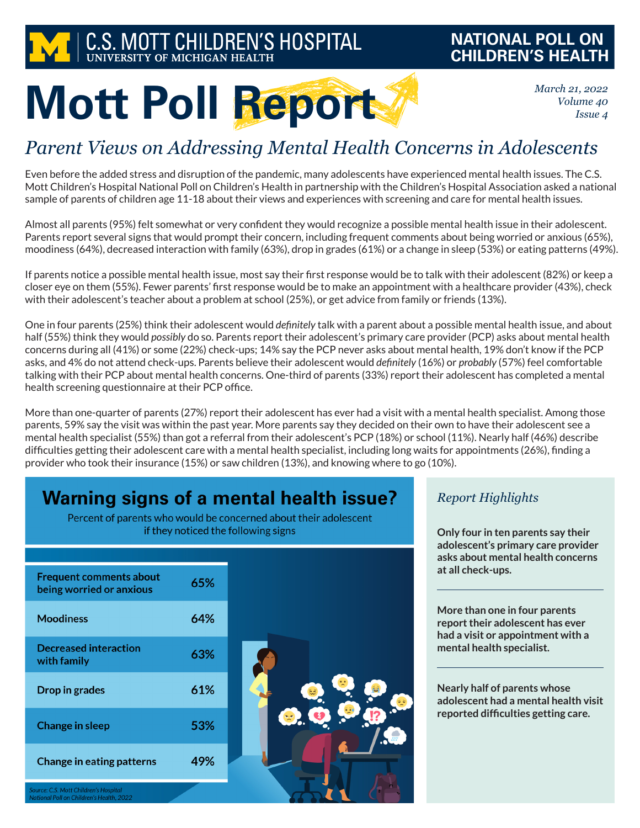

## **NATIONAL POLL ON CHILDREN'S HEALTH**

*March 21, 2022 Volume 40 Issue 4*

# **Mott Poll Report**

# *Parent Views on Addressing Mental Health Concerns in Adolescents*

Even before the added stress and disruption of the pandemic, many adolescents have experienced mental health issues. The C.S. Mott Children's Hospital National Poll on Children's Health in partnership with the Children's Hospital Association asked a national sample of parents of children age 11-18 about their views and experiences with screening and care for mental health issues.

Almost all parents (95%) felt somewhat or very confident they would recognize a possible mental health issue in their adolescent. Parents report several signs that would prompt their concern, including frequent comments about being worried or anxious (65%), moodiness (64%), decreased interaction with family (63%), drop in grades (61%) or a change in sleep (53%) or eating patterns (49%).

If parents notice a possible mental health issue, most say their first response would be to talk with their adolescent (82%) or keep a closer eye on them (55%). Fewer parents' first response would be to make an appointment with a healthcare provider (43%), check with their adolescent's teacher about a problem at school (25%), or get advice from family or friends (13%).

One in four parents (25%) think their adolescent would *definitely* talk with a parent about a possible mental health issue, and about half (55%) think they would *possibly* do so. Parents report their adolescent's primary care provider (PCP) asks about mental health concerns during all (41%) or some (22%) check-ups; 14% say the PCP never asks about mental health, 19% don't know if the PCP asks, and 4% do not attend check-ups. Parents believe their adolescent would *definitely* (16%) or *probably* (57%) feel comfortable talking with their PCP about mental health concerns. One-third of parents (33%) report their adolescent has completed a mental health screening questionnaire at their PCP office.

More than one-quarter of parents (27%) report their adolescent has ever had a visit with a mental health specialist. Among those parents, 59% say the visit was within the past year. More parents say they decided on their own to have their adolescent see a mental health specialist (55%) than got a referral from their adolescent's PCP (18%) or school (11%). Nearly half (46%) describe difficulties getting their adolescent care with a mental health specialist, including long waits for appointments (26%), finding a provider who took their insurance (15%) or saw children (13%), and knowing where to go (10%).

# **Warning signs of a mental health issue?**

Percent of parents who would be concerned about their adolescent if they noticed the following signs

| <b>Frequent comments about</b><br>being worried or anxious | 65% |  |
|------------------------------------------------------------|-----|--|
| <b>Moodiness</b>                                           | 64% |  |
| <b>Decreased interaction</b><br>with family                | 63% |  |
| Drop in grades                                             | 61% |  |
| <b>Change in sleep</b>                                     | 53% |  |
| <b>Change in eating patterns</b>                           | 49% |  |
| Source: C.S. Mott Children's Hospital                      |     |  |

*Report Highlights*

**Only four in ten parents say their adolescent's primary care provider asks about mental health concerns at all check-ups.**

**More than one in four parents report their adolescent has ever had a visit or appointment with a mental health specialist.**

**Nearly half of parents whose adolescent had a mental health visit reported difficulties getting care.**